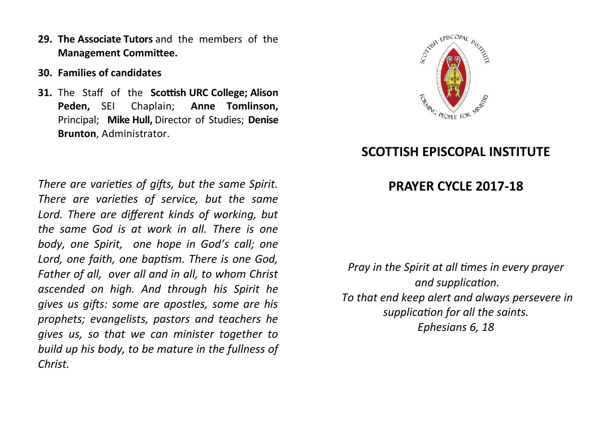- **29. The Associate Tutors** and the members of the **Management Committee.**
- **30. Families of candidates**
- **31.** The Staff of the **Scottish URC College; Alison Peden,** SEI Chaplain; **Anne Tomlinson,**  Principal; **Mike Hull,** Director of Studies; **Denise Brunton**, Administrator.

*There are varieties of gifts, but the same Spirit. There are varieties of service, but the same Lord. There are different kinds of working, but the same God is at work in all. There is one body, one Spirit, one hope in God's call; one Lord, one faith, one baptism. There is one God, Father of all, over all and in all, to whom Christ ascended on high. And through his Spirit he gives us gifts: some are apostles, some are his prophets; evangelists, pastors and teachers he gives us, so that we can minister together to build up his body, to be mature in the fullness of Christ.*



## **SCOTTISH EPISCOPAL INSTITUTE**

## **PRAYER CYCLE 2017-18**

*Pray in the Spirit at all times in every prayer and supplication. To that end keep alert and always persevere in supplication for all the saints. Ephesians 6, 18*